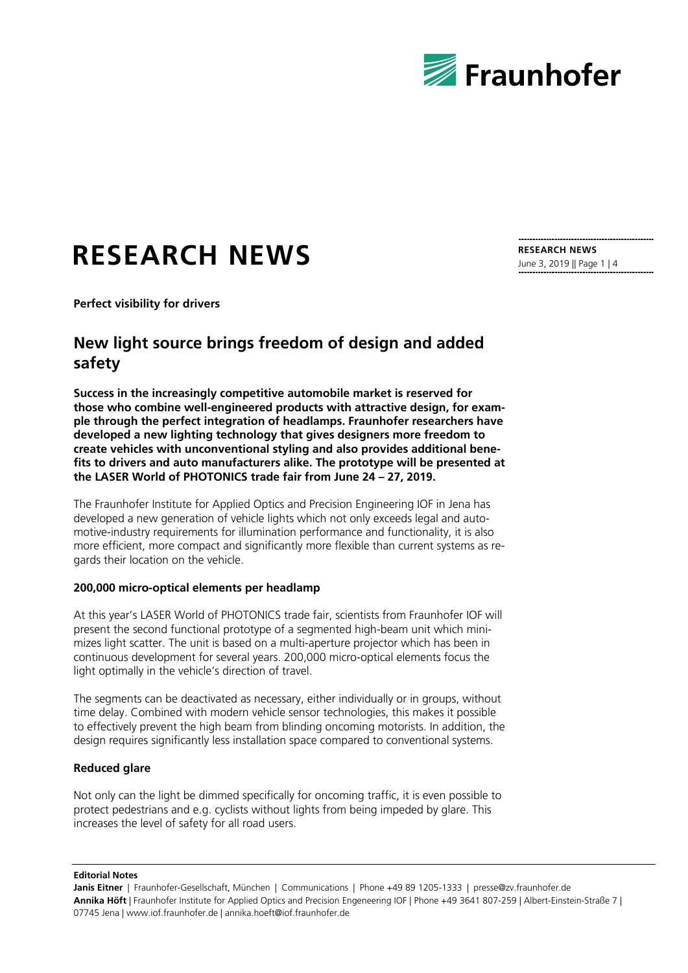

# **RESEARCH NEWS**

**RESEARCH NEWS** June 3, 2019 || Page 1 | 4

**Perfect visibility for drivers**

# **New light source brings freedom of design and added safety**

**Success in the increasingly competitive automobile market is reserved for those who combine well-engineered products with attractive design, for example through the perfect integration of headlamps. Fraunhofer researchers have developed a new lighting technology that gives designers more freedom to create vehicles with unconventional styling and also provides additional benefits to drivers and auto manufacturers alike. The prototype will be presented at the LASER World of PHOTONICS trade fair from June 24 – 27, 2019.**

The Fraunhofer Institute for Applied Optics and Precision Engineering IOF in Jena has developed a new generation of vehicle lights which not only exceeds legal and automotive-industry requirements for illumination performance and functionality, it is also more efficient, more compact and significantly more flexible than current systems as regards their location on the vehicle.

## **200,000 micro-optical elements per headlamp**

At this year's LASER World of PHOTONICS trade fair, scientists from Fraunhofer IOF will present the second functional prototype of a segmented high-beam unit which minimizes light scatter. The unit is based on a multi-aperture projector which has been in continuous development for several years. 200,000 micro-optical elements focus the light optimally in the vehicle's direction of travel.

The segments can be deactivated as necessary, either individually or in groups, without time delay. Combined with modern vehicle sensor technologies, this makes it possible to effectively prevent the high beam from blinding oncoming motorists. In addition, the design requires significantly less installation space compared to conventional systems.

### **Reduced glare**

Not only can the light be dimmed specifically for oncoming traffic, it is even possible to protect pedestrians and e.g. cyclists without lights from being impeded by glare. This increases the level of safety for all road users.

**Editorial Notes**

**Janis Eitner** | Fraunhofer-Gesellschaft, München | Communications | Phone +49 89 1205-1333 | presse@zv.fraunhofer.de **Annika Höft** | Fraunhofer Institute for Applied Optics and Precision Engeneering IOF | Phone +49 3641 807-259 | Albert-Einstein-Straße 7 | 07745 Jena | www.iof.fraunhofer.de | annika.hoeft@iof.fraunhofer.de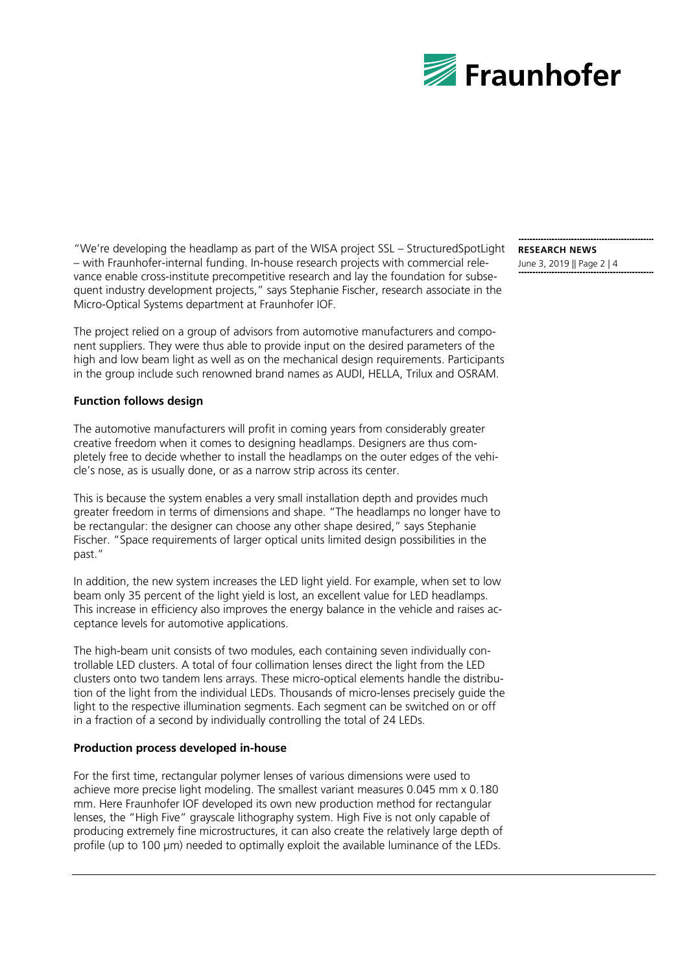

"We're developing the headlamp as part of the WISA project SSL – StructuredSpotLight **RESEARCH NEWS** – with Fraunhofer-internal funding. In-house research projects with commercial relevance enable cross-institute precompetitive research and lay the foundation for subsequent industry development projects," says Stephanie Fischer, research associate in the Micro-Optical Systems department at Fraunhofer IOF.

The project relied on a group of advisors from automotive manufacturers and component suppliers. They were thus able to provide input on the desired parameters of the high and low beam light as well as on the mechanical design requirements. Participants in the group include such renowned brand names as AUDI, HELLA, Trilux and OSRAM.

# **Function follows design**

The automotive manufacturers will profit in coming years from considerably greater creative freedom when it comes to designing headlamps. Designers are thus completely free to decide whether to install the headlamps on the outer edges of the vehicle's nose, as is usually done, or as a narrow strip across its center.

This is because the system enables a very small installation depth and provides much greater freedom in terms of dimensions and shape. "The headlamps no longer have to be rectangular: the designer can choose any other shape desired," says Stephanie Fischer. "Space requirements of larger optical units limited design possibilities in the past."

In addition, the new system increases the LED light yield. For example, when set to low beam only 35 percent of the light yield is lost, an excellent value for LED headlamps. This increase in efficiency also improves the energy balance in the vehicle and raises acceptance levels for automotive applications.

The high-beam unit consists of two modules, each containing seven individually controllable LED clusters. A total of four collimation lenses direct the light from the LED clusters onto two tandem lens arrays. These micro-optical elements handle the distribution of the light from the individual LEDs. Thousands of micro-lenses precisely guide the light to the respective illumination segments. Each segment can be switched on or off in a fraction of a second by individually controlling the total of 24 LEDs.

### **Production process developed in-house**

For the first time, rectangular polymer lenses of various dimensions were used to achieve more precise light modeling. The smallest variant measures 0.045 mm x 0.180 mm. Here Fraunhofer IOF developed its own new production method for rectangular lenses, the "High Five" grayscale lithography system. High Five is not only capable of producing extremely fine microstructures, it can also create the relatively large depth of profile (up to 100 µm) needed to optimally exploit the available luminance of the LEDs.

June 3, 2019 || Page 2 | 4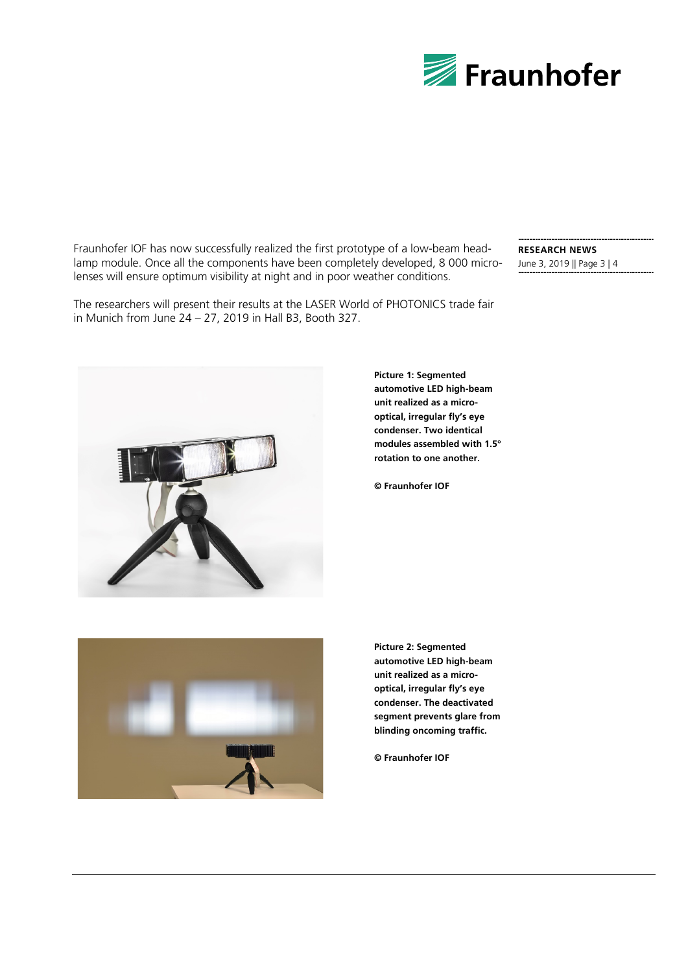

Fraunhofer IOF has now successfully realized the first prototype of a low-beam headlamp module. Once all the components have been completely developed, 8 000 microlenses will ensure optimum visibility at night and in poor weather conditions.

The researchers will present their results at the LASER World of PHOTONICS trade fair in Munich from June 24 – 27, 2019 in Hall B3, Booth 327.

# **RESEARCH NEWS** June 3, 2019 || Page 3 | 4



**Picture 1: Segmented automotive LED high-beam unit realized as a microoptical, irregular fly's eye condenser. Two identical modules assembled with 1.5° rotation to one another.**

**© Fraunhofer IOF**



**Picture 2: Segmented automotive LED high-beam unit realized as a microoptical, irregular fly's eye condenser. The deactivated segment prevents glare from blinding oncoming traffic.**

**© Fraunhofer IOF**